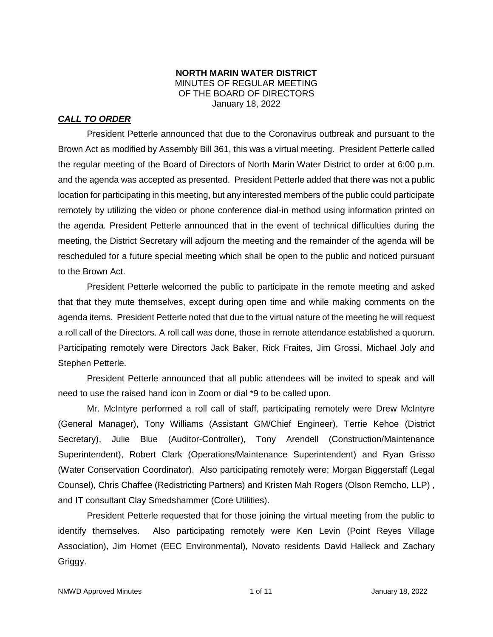#### **NORTH MARIN WATER DISTRICT** MINUTES OF REGULAR MEETING OF THE BOARD OF DIRECTORS January 18, 2022

# *CALL TO ORDER*

President Petterle announced that due to the Coronavirus outbreak and pursuant to the Brown Act as modified by Assembly Bill 361, this was a virtual meeting. President Petterle called the regular meeting of the Board of Directors of North Marin Water District to order at 6:00 p.m. and the agenda was accepted as presented. President Petterle added that there was not a public location for participating in this meeting, but any interested members of the public could participate remotely by utilizing the video or phone conference dial-in method using information printed on the agenda. President Petterle announced that in the event of technical difficulties during the meeting, the District Secretary will adjourn the meeting and the remainder of the agenda will be rescheduled for a future special meeting which shall be open to the public and noticed pursuant to the Brown Act.

President Petterle welcomed the public to participate in the remote meeting and asked that that they mute themselves, except during open time and while making comments on the agenda items. President Petterle noted that due to the virtual nature of the meeting he will request a roll call of the Directors. A roll call was done, those in remote attendance established a quorum. Participating remotely were Directors Jack Baker, Rick Fraites, Jim Grossi, Michael Joly and Stephen Petterle.

President Petterle announced that all public attendees will be invited to speak and will need to use the raised hand icon in Zoom or dial \*9 to be called upon.

Mr. McIntyre performed a roll call of staff, participating remotely were Drew McIntyre (General Manager), Tony Williams (Assistant GM/Chief Engineer), Terrie Kehoe (District Secretary), Julie Blue (Auditor-Controller), Tony Arendell (Construction/Maintenance Superintendent), Robert Clark (Operations/Maintenance Superintendent) and Ryan Grisso (Water Conservation Coordinator). Also participating remotely were; Morgan Biggerstaff (Legal Counsel), Chris Chaffee (Redistricting Partners) and Kristen Mah Rogers (Olson Remcho, LLP) , and IT consultant Clay Smedshammer (Core Utilities).

President Petterle requested that for those joining the virtual meeting from the public to identify themselves. Also participating remotely were Ken Levin (Point Reyes Village Association), Jim Homet (EEC Environmental), Novato residents David Halleck and Zachary Griggy.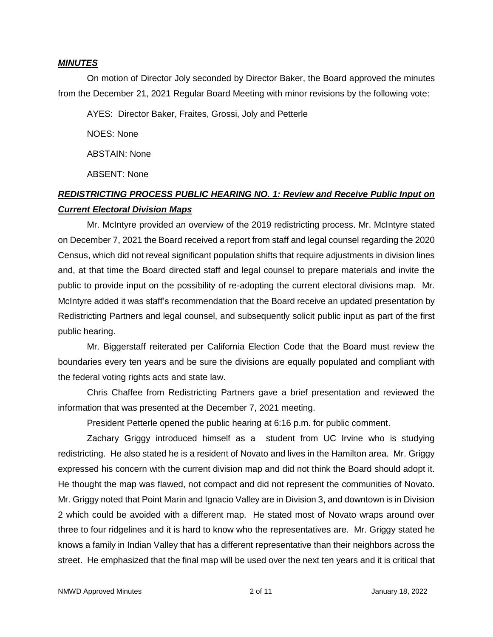#### *MINUTES*

On motion of Director Joly seconded by Director Baker, the Board approved the minutes from the December 21, 2021 Regular Board Meeting with minor revisions by the following vote:

AYES: Director Baker, Fraites, Grossi, Joly and Petterle

NOES: None

ABSTAIN: None

ABSENT: None

# *REDISTRICTING PROCESS PUBLIC HEARING NO. 1: Review and Receive Public Input on Current Electoral Division Maps*

Mr. McIntyre provided an overview of the 2019 redistricting process. Mr. McIntyre stated on December 7, 2021 the Board received a report from staff and legal counsel regarding the 2020 Census, which did not reveal significant population shifts that require adjustments in division lines and, at that time the Board directed staff and legal counsel to prepare materials and invite the public to provide input on the possibility of re-adopting the current electoral divisions map. Mr. McIntyre added it was staff's recommendation that the Board receive an updated presentation by Redistricting Partners and legal counsel, and subsequently solicit public input as part of the first public hearing.

Mr. Biggerstaff reiterated per California Election Code that the Board must review the boundaries every ten years and be sure the divisions are equally populated and compliant with the federal voting rights acts and state law.

Chris Chaffee from Redistricting Partners gave a brief presentation and reviewed the information that was presented at the December 7, 2021 meeting.

President Petterle opened the public hearing at 6:16 p.m. for public comment.

Zachary Griggy introduced himself as a student from UC Irvine who is studying redistricting. He also stated he is a resident of Novato and lives in the Hamilton area. Mr. Griggy expressed his concern with the current division map and did not think the Board should adopt it. He thought the map was flawed, not compact and did not represent the communities of Novato. Mr. Griggy noted that Point Marin and Ignacio Valley are in Division 3, and downtown is in Division 2 which could be avoided with a different map. He stated most of Novato wraps around over three to four ridgelines and it is hard to know who the representatives are. Mr. Griggy stated he knows a family in Indian Valley that has a different representative than their neighbors across the street. He emphasized that the final map will be used over the next ten years and it is critical that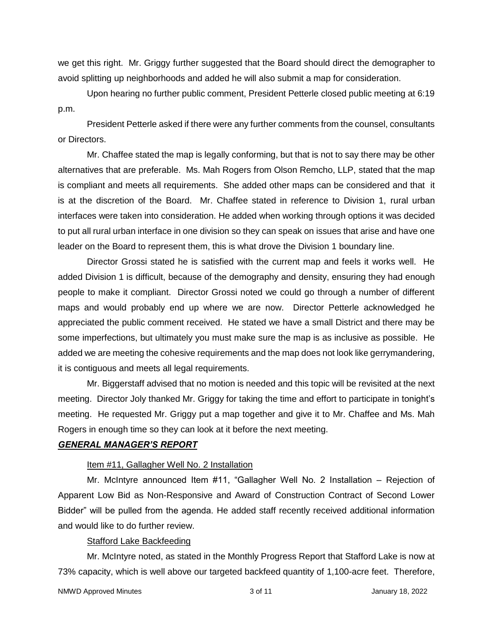we get this right. Mr. Griggy further suggested that the Board should direct the demographer to avoid splitting up neighborhoods and added he will also submit a map for consideration.

Upon hearing no further public comment, President Petterle closed public meeting at 6:19 p.m.

President Petterle asked if there were any further comments from the counsel, consultants or Directors.

Mr. Chaffee stated the map is legally conforming, but that is not to say there may be other alternatives that are preferable. Ms. Mah Rogers from Olson Remcho, LLP, stated that the map is compliant and meets all requirements. She added other maps can be considered and that it is at the discretion of the Board. Mr. Chaffee stated in reference to Division 1, rural urban interfaces were taken into consideration. He added when working through options it was decided to put all rural urban interface in one division so they can speak on issues that arise and have one leader on the Board to represent them, this is what drove the Division 1 boundary line.

Director Grossi stated he is satisfied with the current map and feels it works well. He added Division 1 is difficult, because of the demography and density, ensuring they had enough people to make it compliant. Director Grossi noted we could go through a number of different maps and would probably end up where we are now. Director Petterle acknowledged he appreciated the public comment received. He stated we have a small District and there may be some imperfections, but ultimately you must make sure the map is as inclusive as possible. He added we are meeting the cohesive requirements and the map does not look like gerrymandering, it is contiguous and meets all legal requirements.

Mr. Biggerstaff advised that no motion is needed and this topic will be revisited at the next meeting. Director Joly thanked Mr. Griggy for taking the time and effort to participate in tonight's meeting. He requested Mr. Griggy put a map together and give it to Mr. Chaffee and Ms. Mah Rogers in enough time so they can look at it before the next meeting.

#### *GENERAL MANAGER'S REPORT*

#### Item #11, Gallagher Well No. 2 Installation

Mr. McIntyre announced Item #11, "Gallagher Well No. 2 Installation – Rejection of Apparent Low Bid as Non-Responsive and Award of Construction Contract of Second Lower Bidder" will be pulled from the agenda. He added staff recently received additional information and would like to do further review.

## Stafford Lake Backfeeding

Mr. McIntyre noted, as stated in the Monthly Progress Report that Stafford Lake is now at 73% capacity, which is well above our targeted backfeed quantity of 1,100-acre feet. Therefore,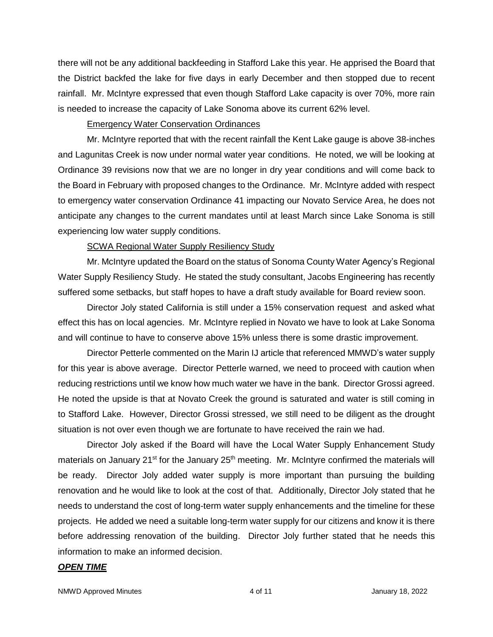there will not be any additional backfeeding in Stafford Lake this year. He apprised the Board that the District backfed the lake for five days in early December and then stopped due to recent rainfall. Mr. McIntyre expressed that even though Stafford Lake capacity is over 70%, more rain is needed to increase the capacity of Lake Sonoma above its current 62% level.

## Emergency Water Conservation Ordinances

Mr. McIntyre reported that with the recent rainfall the Kent Lake gauge is above 38-inches and Lagunitas Creek is now under normal water year conditions. He noted, we will be looking at Ordinance 39 revisions now that we are no longer in dry year conditions and will come back to the Board in February with proposed changes to the Ordinance. Mr. McIntyre added with respect to emergency water conservation Ordinance 41 impacting our Novato Service Area, he does not anticipate any changes to the current mandates until at least March since Lake Sonoma is still experiencing low water supply conditions.

## SCWA Regional Water Supply Resiliency Study

Mr. McIntyre updated the Board on the status of Sonoma County Water Agency's Regional Water Supply Resiliency Study. He stated the study consultant, Jacobs Engineering has recently suffered some setbacks, but staff hopes to have a draft study available for Board review soon.

Director Joly stated California is still under a 15% conservation request and asked what effect this has on local agencies. Mr. McIntyre replied in Novato we have to look at Lake Sonoma and will continue to have to conserve above 15% unless there is some drastic improvement.

Director Petterle commented on the Marin IJ article that referenced MMWD's water supply for this year is above average. Director Petterle warned, we need to proceed with caution when reducing restrictions until we know how much water we have in the bank. Director Grossi agreed. He noted the upside is that at Novato Creek the ground is saturated and water is still coming in to Stafford Lake. However, Director Grossi stressed, we still need to be diligent as the drought situation is not over even though we are fortunate to have received the rain we had.

Director Joly asked if the Board will have the Local Water Supply Enhancement Study materials on January 21<sup>st</sup> for the January 25<sup>th</sup> meeting. Mr. McIntyre confirmed the materials will be ready. Director Joly added water supply is more important than pursuing the building renovation and he would like to look at the cost of that. Additionally, Director Joly stated that he needs to understand the cost of long-term water supply enhancements and the timeline for these projects. He added we need a suitable long-term water supply for our citizens and know it is there before addressing renovation of the building. Director Joly further stated that he needs this information to make an informed decision.

## *OPEN TIME*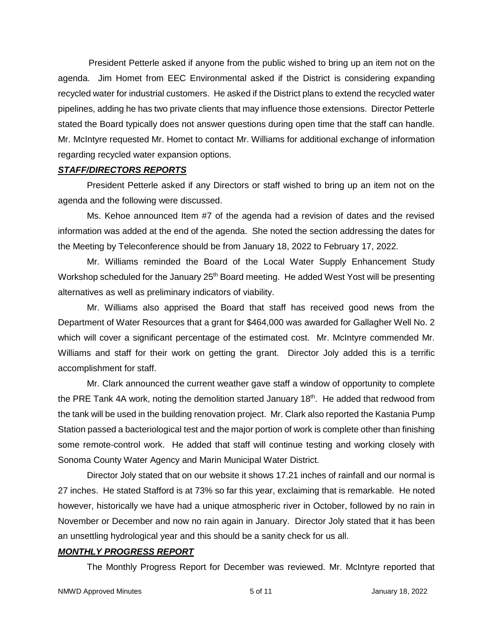President Petterle asked if anyone from the public wished to bring up an item not on the agenda. Jim Homet from EEC Environmental asked if the District is considering expanding recycled water for industrial customers. He asked if the District plans to extend the recycled water pipelines, adding he has two private clients that may influence those extensions. Director Petterle stated the Board typically does not answer questions during open time that the staff can handle. Mr. McIntyre requested Mr. Homet to contact Mr. Williams for additional exchange of information regarding recycled water expansion options.

#### *STAFF/DIRECTORS REPORTS*

President Petterle asked if any Directors or staff wished to bring up an item not on the agenda and the following were discussed.

Ms. Kehoe announced Item #7 of the agenda had a revision of dates and the revised information was added at the end of the agenda. She noted the section addressing the dates for the Meeting by Teleconference should be from January 18, 2022 to February 17, 2022.

Mr. Williams reminded the Board of the Local Water Supply Enhancement Study Workshop scheduled for the January  $25<sup>th</sup>$  Board meeting. He added West Yost will be presenting alternatives as well as preliminary indicators of viability.

Mr. Williams also apprised the Board that staff has received good news from the Department of Water Resources that a grant for \$464,000 was awarded for Gallagher Well No. 2 which will cover a significant percentage of the estimated cost. Mr. McIntyre commended Mr. Williams and staff for their work on getting the grant. Director Joly added this is a terrific accomplishment for staff.

Mr. Clark announced the current weather gave staff a window of opportunity to complete the PRE Tank 4A work, noting the demolition started January  $18<sup>th</sup>$ . He added that redwood from the tank will be used in the building renovation project. Mr. Clark also reported the Kastania Pump Station passed a bacteriological test and the major portion of work is complete other than finishing some remote-control work. He added that staff will continue testing and working closely with Sonoma County Water Agency and Marin Municipal Water District.

Director Joly stated that on our website it shows 17.21 inches of rainfall and our normal is 27 inches. He stated Stafford is at 73% so far this year, exclaiming that is remarkable. He noted however, historically we have had a unique atmospheric river in October, followed by no rain in November or December and now no rain again in January. Director Joly stated that it has been an unsettling hydrological year and this should be a sanity check for us all.

## *MONTHLY PROGRESS REPORT*

The Monthly Progress Report for December was reviewed. Mr. McIntyre reported that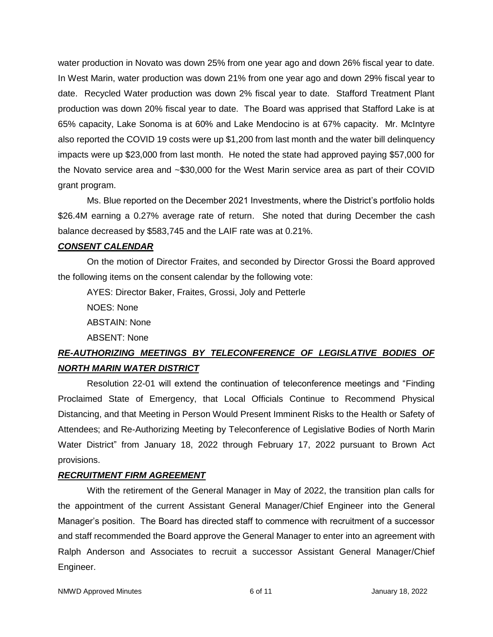water production in Novato was down 25% from one year ago and down 26% fiscal year to date. In West Marin, water production was down 21% from one year ago and down 29% fiscal year to date. Recycled Water production was down 2% fiscal year to date. Stafford Treatment Plant production was down 20% fiscal year to date. The Board was apprised that Stafford Lake is at 65% capacity, Lake Sonoma is at 60% and Lake Mendocino is at 67% capacity. Mr. McIntyre also reported the COVID 19 costs were up \$1,200 from last month and the water bill delinquency impacts were up \$23,000 from last month. He noted the state had approved paying \$57,000 for the Novato service area and ~\$30,000 for the West Marin service area as part of their COVID grant program.

Ms. Blue reported on the December 2021 Investments, where the District's portfolio holds \$26.4M earning a 0.27% average rate of return. She noted that during December the cash balance decreased by \$583,745 and the LAIF rate was at 0.21%.

## *CONSENT CALENDAR*

On the motion of Director Fraites, and seconded by Director Grossi the Board approved the following items on the consent calendar by the following vote:

AYES: Director Baker, Fraites, Grossi, Joly and Petterle

NOES: None

ABSTAIN: None

ABSENT: None

# *RE-AUTHORIZING MEETINGS BY TELECONFERENCE OF LEGISLATIVE BODIES OF NORTH MARIN WATER DISTRICT*

Resolution 22-01 will extend the continuation of teleconference meetings and "Finding Proclaimed State of Emergency, that Local Officials Continue to Recommend Physical Distancing, and that Meeting in Person Would Present Imminent Risks to the Health or Safety of Attendees; and Re-Authorizing Meeting by Teleconference of Legislative Bodies of North Marin Water District" from January 18, 2022 through February 17, 2022 pursuant to Brown Act provisions.

# *RECRUITMENT FIRM AGREEMENT*

With the retirement of the General Manager in May of 2022, the transition plan calls for the appointment of the current Assistant General Manager/Chief Engineer into the General Manager's position. The Board has directed staff to commence with recruitment of a successor and staff recommended the Board approve the General Manager to enter into an agreement with Ralph Anderson and Associates to recruit a successor Assistant General Manager/Chief Engineer.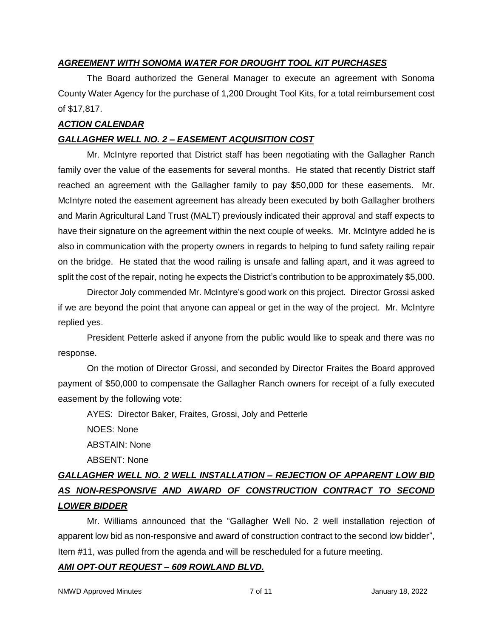# *AGREEMENT WITH SONOMA WATER FOR DROUGHT TOOL KIT PURCHASES*

The Board authorized the General Manager to execute an agreement with Sonoma County Water Agency for the purchase of 1,200 Drought Tool Kits, for a total reimbursement cost of \$17,817.

# *ACTION CALENDAR*

# *GALLAGHER WELL NO. 2 – EASEMENT ACQUISITION COST*

Mr. McIntyre reported that District staff has been negotiating with the Gallagher Ranch family over the value of the easements for several months. He stated that recently District staff reached an agreement with the Gallagher family to pay \$50,000 for these easements. Mr. McIntyre noted the easement agreement has already been executed by both Gallagher brothers and Marin Agricultural Land Trust (MALT) previously indicated their approval and staff expects to have their signature on the agreement within the next couple of weeks. Mr. McIntyre added he is also in communication with the property owners in regards to helping to fund safety railing repair on the bridge. He stated that the wood railing is unsafe and falling apart, and it was agreed to split the cost of the repair, noting he expects the District's contribution to be approximately \$5,000.

Director Joly commended Mr. McIntyre's good work on this project. Director Grossi asked if we are beyond the point that anyone can appeal or get in the way of the project. Mr. McIntyre replied yes.

President Petterle asked if anyone from the public would like to speak and there was no response.

On the motion of Director Grossi, and seconded by Director Fraites the Board approved payment of \$50,000 to compensate the Gallagher Ranch owners for receipt of a fully executed easement by the following vote:

AYES: Director Baker, Fraites, Grossi, Joly and Petterle

NOES: None ABSTAIN: None

ABSENT: None

# *GALLAGHER WELL NO. 2 WELL INSTALLATION – REJECTION OF APPARENT LOW BID AS NON-RESPONSIVE AND AWARD OF CONSTRUCTION CONTRACT TO SECOND LOWER BIDDER*

Mr. Williams announced that the "Gallagher Well No. 2 well installation rejection of apparent low bid as non-responsive and award of construction contract to the second low bidder", Item #11, was pulled from the agenda and will be rescheduled for a future meeting.

# *AMI OPT-OUT REQUEST – 609 ROWLAND BLVD.*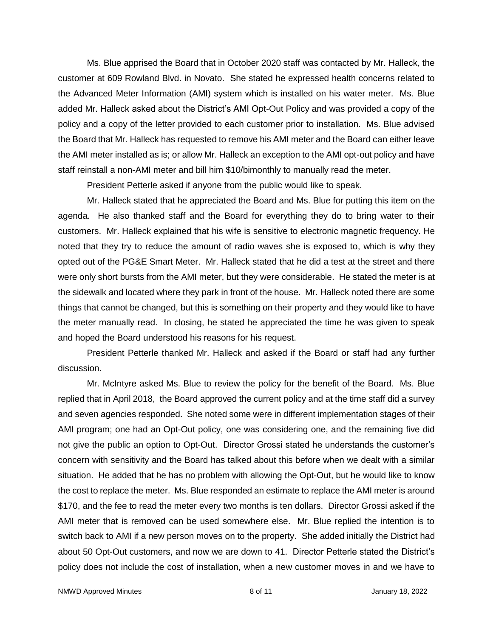Ms. Blue apprised the Board that in October 2020 staff was contacted by Mr. Halleck, the customer at 609 Rowland Blvd. in Novato. She stated he expressed health concerns related to the Advanced Meter Information (AMI) system which is installed on his water meter. Ms. Blue added Mr. Halleck asked about the District's AMI Opt-Out Policy and was provided a copy of the policy and a copy of the letter provided to each customer prior to installation. Ms. Blue advised the Board that Mr. Halleck has requested to remove his AMI meter and the Board can either leave the AMI meter installed as is; or allow Mr. Halleck an exception to the AMI opt-out policy and have staff reinstall a non-AMI meter and bill him \$10/bimonthly to manually read the meter.

President Petterle asked if anyone from the public would like to speak.

Mr. Halleck stated that he appreciated the Board and Ms. Blue for putting this item on the agenda. He also thanked staff and the Board for everything they do to bring water to their customers. Mr. Halleck explained that his wife is sensitive to electronic magnetic frequency. He noted that they try to reduce the amount of radio waves she is exposed to, which is why they opted out of the PG&E Smart Meter. Mr. Halleck stated that he did a test at the street and there were only short bursts from the AMI meter, but they were considerable. He stated the meter is at the sidewalk and located where they park in front of the house. Mr. Halleck noted there are some things that cannot be changed, but this is something on their property and they would like to have the meter manually read. In closing, he stated he appreciated the time he was given to speak and hoped the Board understood his reasons for his request.

President Petterle thanked Mr. Halleck and asked if the Board or staff had any further discussion.

Mr. McIntyre asked Ms. Blue to review the policy for the benefit of the Board. Ms. Blue replied that in April 2018, the Board approved the current policy and at the time staff did a survey and seven agencies responded. She noted some were in different implementation stages of their AMI program; one had an Opt-Out policy, one was considering one, and the remaining five did not give the public an option to Opt-Out. Director Grossi stated he understands the customer's concern with sensitivity and the Board has talked about this before when we dealt with a similar situation. He added that he has no problem with allowing the Opt-Out, but he would like to know the cost to replace the meter. Ms. Blue responded an estimate to replace the AMI meter is around \$170, and the fee to read the meter every two months is ten dollars. Director Grossi asked if the AMI meter that is removed can be used somewhere else. Mr. Blue replied the intention is to switch back to AMI if a new person moves on to the property. She added initially the District had about 50 Opt-Out customers, and now we are down to 41. Director Petterle stated the District's policy does not include the cost of installation, when a new customer moves in and we have to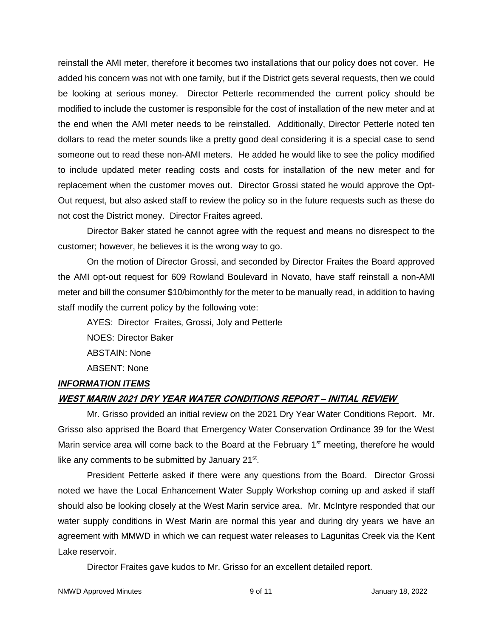reinstall the AMI meter, therefore it becomes two installations that our policy does not cover. He added his concern was not with one family, but if the District gets several requests, then we could be looking at serious money. Director Petterle recommended the current policy should be modified to include the customer is responsible for the cost of installation of the new meter and at the end when the AMI meter needs to be reinstalled. Additionally, Director Petterle noted ten dollars to read the meter sounds like a pretty good deal considering it is a special case to send someone out to read these non-AMI meters. He added he would like to see the policy modified to include updated meter reading costs and costs for installation of the new meter and for replacement when the customer moves out. Director Grossi stated he would approve the Opt-Out request, but also asked staff to review the policy so in the future requests such as these do not cost the District money. Director Fraites agreed.

Director Baker stated he cannot agree with the request and means no disrespect to the customer; however, he believes it is the wrong way to go.

On the motion of Director Grossi, and seconded by Director Fraites the Board approved the AMI opt-out request for 609 Rowland Boulevard in Novato, have staff reinstall a non-AMI meter and bill the consumer \$10/bimonthly for the meter to be manually read, in addition to having staff modify the current policy by the following vote:

AYES: Director Fraites, Grossi, Joly and Petterle

NOES: Director Baker

ABSTAIN: None

ABSENT: None

# *INFORMATION ITEMS*

# **WEST MARIN 2021 DRY YEAR WATER CONDITIONS REPORT – INITIAL REVIEW**

Mr. Grisso provided an initial review on the 2021 Dry Year Water Conditions Report. Mr. Grisso also apprised the Board that Emergency Water Conservation Ordinance 39 for the West Marin service area will come back to the Board at the February  $1<sup>st</sup>$  meeting, therefore he would like any comments to be submitted by January 21<sup>st</sup>.

President Petterle asked if there were any questions from the Board. Director Grossi noted we have the Local Enhancement Water Supply Workshop coming up and asked if staff should also be looking closely at the West Marin service area. Mr. McIntyre responded that our water supply conditions in West Marin are normal this year and during dry years we have an agreement with MMWD in which we can request water releases to Lagunitas Creek via the Kent Lake reservoir.

Director Fraites gave kudos to Mr. Grisso for an excellent detailed report.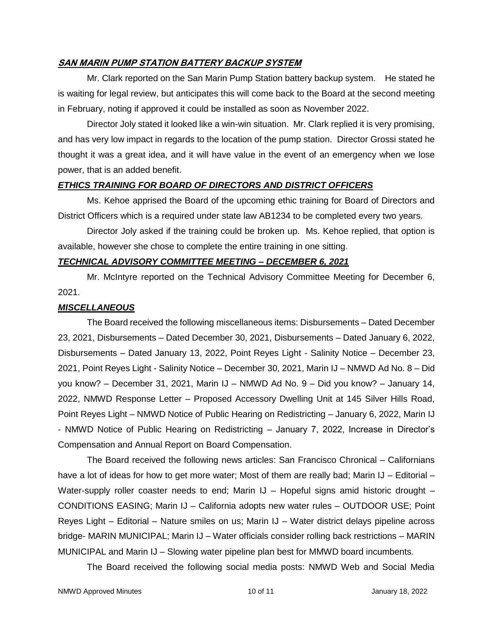#### **SAN MARIN PUMP STATION BATTERY BACKUP SYSTEM**

Mr. Clark reported on the San Marin Pump Station battery backup system. He stated he is waiting for legal review, but anticipates this will come back to the Board at the second meeting in February, noting if approved it could be installed as soon as November 2022.

Director Joly stated it looked like a win-win situation. Mr. Clark replied it is very promising, and has very low impact in regards to the location of the pump station. Director Grossi stated he thought it was a great idea, and it will have value in the event of an emergency when we lose power, that is an added benefit.

#### *ETHICS TRAINING FOR BOARD OF DIRECTORS AND DISTRICT OFFICERS*

Ms. Kehoe apprised the Board of the upcoming ethic training for Board of Directors and District Officers which is a required under state law AB1234 to be completed every two years.

Director Joly asked if the training could be broken up. Ms. Kehoe replied, that option is available, however she chose to complete the entire training in one sitting.

#### *TECHNICAL ADVISORY COMMITTEE MEETING – DECEMBER 6, 2021*

Mr. McIntyre reported on the Technical Advisory Committee Meeting for December 6, 2021.

#### *MISCELLANEOUS*

The Board received the following miscellaneous items: Disbursements – Dated December 23, 2021, Disbursements – Dated December 30, 2021, Disbursements – Dated January 6, 2022, Disbursements – Dated January 13, 2022, Point Reyes Light - Salinity Notice – December 23, 2021, Point Reyes Light - Salinity Notice – December 30, 2021, Marin IJ – NMWD Ad No. 8 – Did you know? – December 31, 2021, Marin IJ – NMWD Ad No. 9 – Did you know? – January 14, 2022, NMWD Response Letter – Proposed Accessory Dwelling Unit at 145 Silver Hills Road, Point Reyes Light – NMWD Notice of Public Hearing on Redistricting – January 6, 2022, Marin IJ - NMWD Notice of Public Hearing on Redistricting – January 7, 2022, Increase in Director's Compensation and Annual Report on Board Compensation.

The Board received the following news articles: San Francisco Chronical – Californians have a lot of ideas for how to get more water; Most of them are really bad; Marin IJ – Editorial – Water-supply roller coaster needs to end; Marin IJ - Hopeful signs amid historic drought -CONDITIONS EASING; Marin IJ – California adopts new water rules – OUTDOOR USE; Point Reyes Light – Editorial – Nature smiles on us; Marin IJ – Water district delays pipeline across bridge- MARIN MUNICIPAL; Marin IJ – Water officials consider rolling back restrictions – MARIN MUNICIPAL and Marin IJ – Slowing water pipeline plan best for MMWD board incumbents.

The Board received the following social media posts: NMWD Web and Social Media